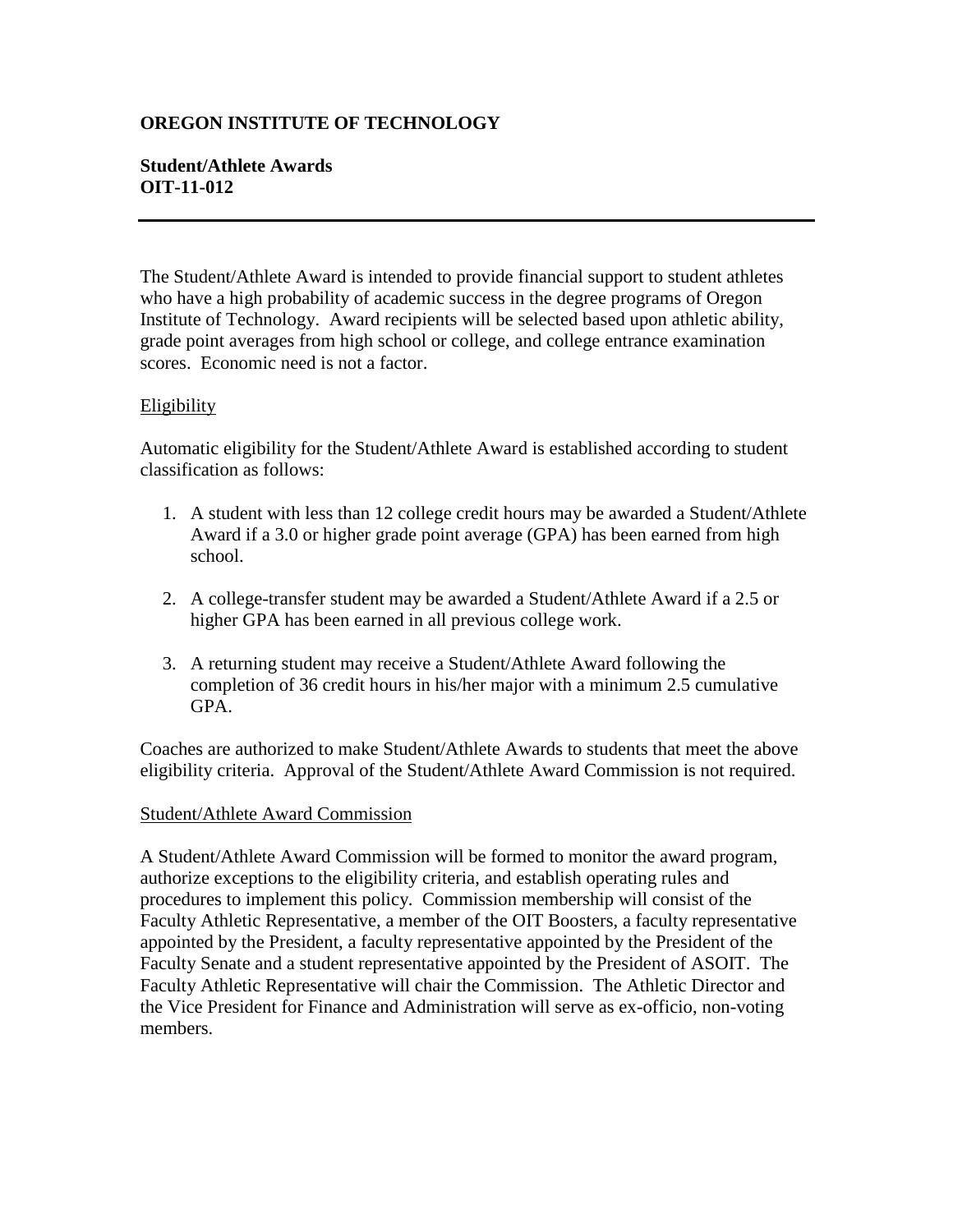# **OREGON INSTITUTE OF TECHNOLOGY**

## **Student/Athlete Awards OIT-11-012**

The Student/Athlete Award is intended to provide financial support to student athletes who have a high probability of academic success in the degree programs of Oregon Institute of Technology. Award recipients will be selected based upon athletic ability, grade point averages from high school or college, and college entrance examination scores. Economic need is not a factor.

### **Eligibility**

Automatic eligibility for the Student/Athlete Award is established according to student classification as follows:

- 1. A student with less than 12 college credit hours may be awarded a Student/Athlete Award if a 3.0 or higher grade point average (GPA) has been earned from high school.
- 2. A college-transfer student may be awarded a Student/Athlete Award if a 2.5 or higher GPA has been earned in all previous college work.
- 3. A returning student may receive a Student/Athlete Award following the completion of 36 credit hours in his/her major with a minimum 2.5 cumulative GPA.

Coaches are authorized to make Student/Athlete Awards to students that meet the above eligibility criteria. Approval of the Student/Athlete Award Commission is not required.

#### Student/Athlete Award Commission

A Student/Athlete Award Commission will be formed to monitor the award program, authorize exceptions to the eligibility criteria, and establish operating rules and procedures to implement this policy. Commission membership will consist of the Faculty Athletic Representative, a member of the OIT Boosters, a faculty representative appointed by the President, a faculty representative appointed by the President of the Faculty Senate and a student representative appointed by the President of ASOIT. The Faculty Athletic Representative will chair the Commission. The Athletic Director and the Vice President for Finance and Administration will serve as ex-officio, non-voting members.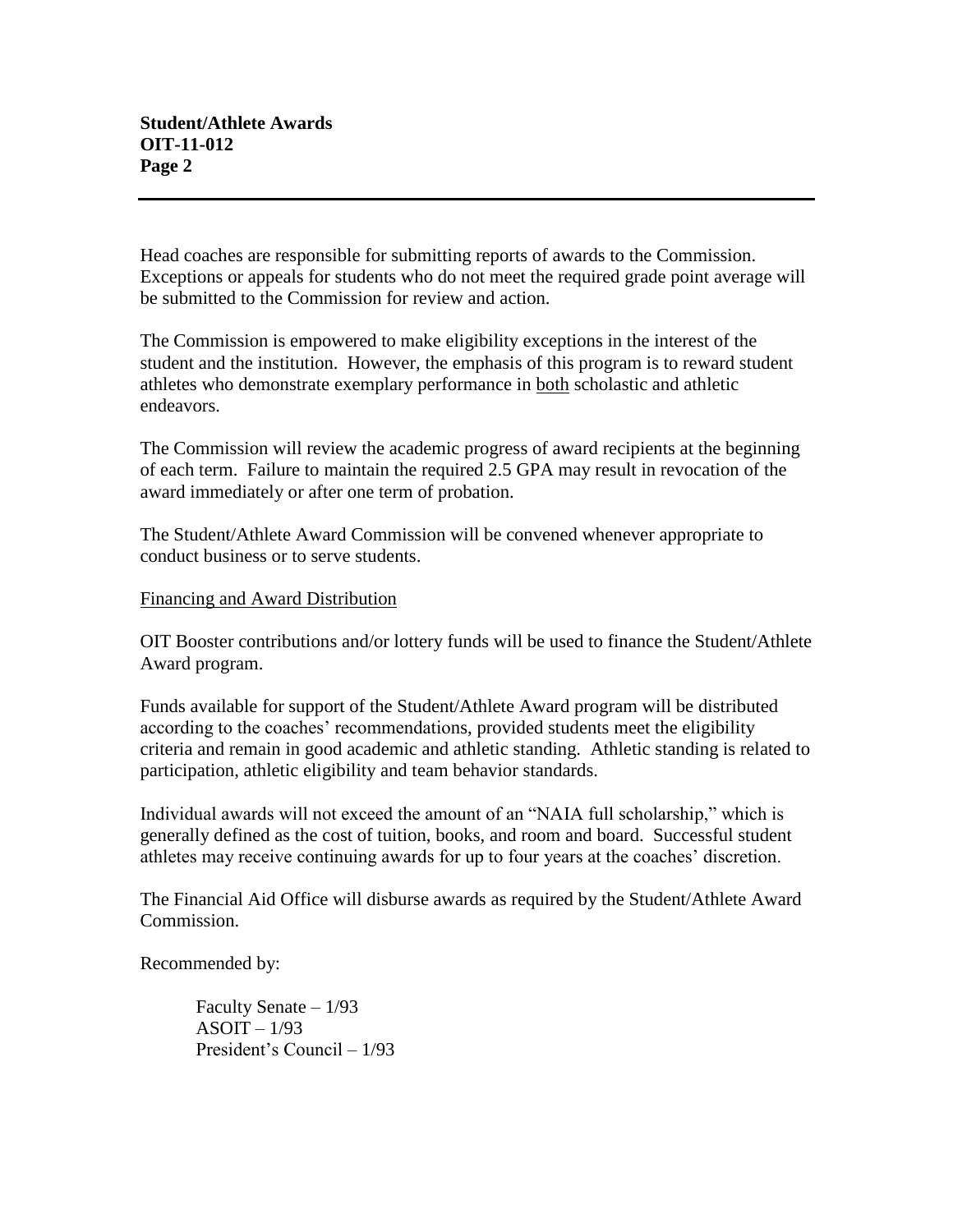Head coaches are responsible for submitting reports of awards to the Commission. Exceptions or appeals for students who do not meet the required grade point average will be submitted to the Commission for review and action.

The Commission is empowered to make eligibility exceptions in the interest of the student and the institution. However, the emphasis of this program is to reward student athletes who demonstrate exemplary performance in both scholastic and athletic endeavors.

The Commission will review the academic progress of award recipients at the beginning of each term. Failure to maintain the required 2.5 GPA may result in revocation of the award immediately or after one term of probation.

The Student/Athlete Award Commission will be convened whenever appropriate to conduct business or to serve students.

### Financing and Award Distribution

OIT Booster contributions and/or lottery funds will be used to finance the Student/Athlete Award program.

Funds available for support of the Student/Athlete Award program will be distributed according to the coaches' recommendations, provided students meet the eligibility criteria and remain in good academic and athletic standing. Athletic standing is related to participation, athletic eligibility and team behavior standards.

Individual awards will not exceed the amount of an "NAIA full scholarship," which is generally defined as the cost of tuition, books, and room and board. Successful student athletes may receive continuing awards for up to four years at the coaches' discretion.

The Financial Aid Office will disburse awards as required by the Student/Athlete Award Commission.

Recommended by:

Faculty Senate – 1/93  $ASOIT - 1/93$ President's Council – 1/93